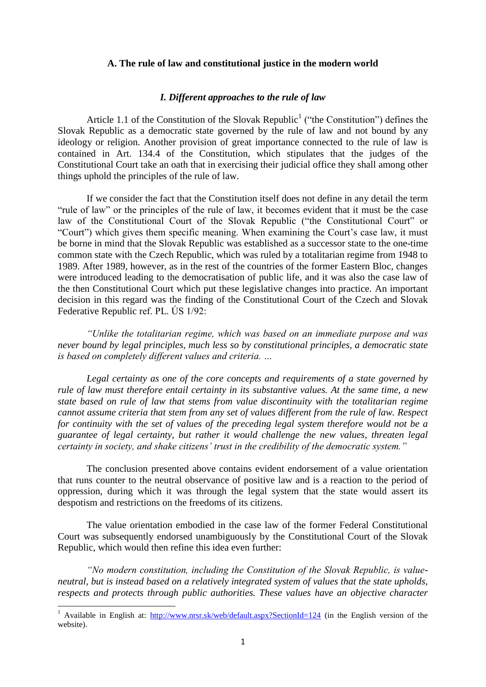### **A. The rule of law and constitutional justice in the modern world**

### *I. Different approaches to the rule of law*

Article 1.1 of the Constitution of the Slovak Republic<sup>1</sup> ("the Constitution") defines the Slovak Republic as a democratic state governed by the rule of law and not bound by any ideology or religion. Another provision of great importance connected to the rule of law is contained in Art. 134.4 of the Constitution, which stipulates that the judges of the Constitutional Court take an oath that in exercising their judicial office they shall among other things uphold the principles of the rule of law.

If we consider the fact that the Constitution itself does not define in any detail the term "rule of law" or the principles of the rule of law, it becomes evident that it must be the case law of the Constitutional Court of the Slovak Republic ("the Constitutional Court" or "Court") which gives them specific meaning. When examining the Court's case law, it must be borne in mind that the Slovak Republic was established as a successor state to the one-time common state with the Czech Republic, which was ruled by a totalitarian regime from 1948 to 1989. After 1989, however, as in the rest of the countries of the former Eastern Bloc, changes were introduced leading to the democratisation of public life, and it was also the case law of the then Constitutional Court which put these legislative changes into practice. An important decision in this regard was the finding of the Constitutional Court of the Czech and Slovak Federative Republic ref. PL. ÚS 1/92:

*"Unlike the totalitarian regime, which was based on an immediate purpose and was never bound by legal principles, much less so by constitutional principles, a democratic state is based on completely different values and criteria. …*

*Legal certainty as one of the core concepts and requirements of a state governed by rule of law must therefore entail certainty in its substantive values. At the same time, a new state based on rule of law that stems from value discontinuity with the totalitarian regime cannot assume criteria that stem from any set of values different from the rule of law. Respect for continuity with the set of values of the preceding legal system therefore would not be a guarantee of legal certainty, but rather it would challenge the new values, threaten legal certainty in society, and shake citizens' trust in the credibility of the democratic system."*

The conclusion presented above contains evident endorsement of a value orientation that runs counter to the neutral observance of positive law and is a reaction to the period of oppression, during which it was through the legal system that the state would assert its despotism and restrictions on the freedoms of its citizens.

The value orientation embodied in the case law of the former Federal Constitutional Court was subsequently endorsed unambiguously by the Constitutional Court of the Slovak Republic, which would then refine this idea even further:

*"No modern constitution, including the Constitution of the Slovak Republic, is valueneutral, but is instead based on a relatively integrated system of values that the state upholds, respects and protects through public authorities. These values have an objective character* 

<sup>1</sup> Available in English at: <http://www.nrsr.sk/web/default.aspx?SectionId=124> (in the English version of the website).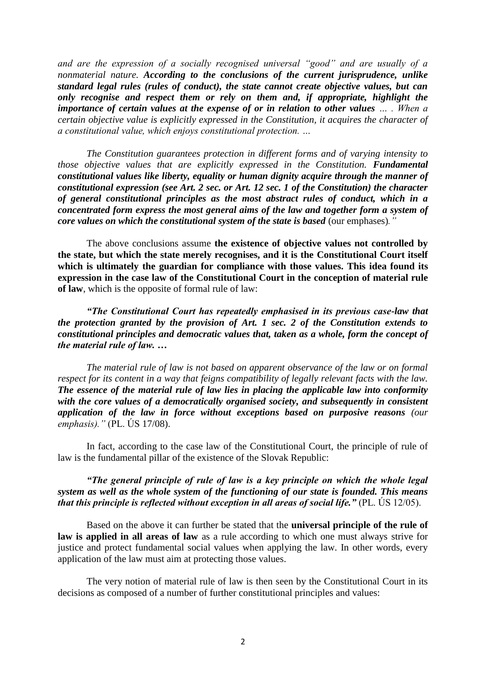*and are the expression of a socially recognised universal "good" and are usually of a nonmaterial nature. According to the conclusions of the current jurisprudence, unlike standard legal rules (rules of conduct), the state cannot create objective values, but can only recognise and respect them or rely on them and, if appropriate, highlight the importance of certain values at the expense of or in relation to other values … . When a certain objective value is explicitly expressed in the Constitution, it acquires the character of a constitutional value, which enjoys constitutional protection. …*

*The Constitution guarantees protection in different forms and of varying intensity to those objective values that are explicitly expressed in the Constitution. Fundamental constitutional values like liberty, equality or human dignity acquire through the manner of constitutional expression (see Art. 2 sec. or Art. 12 sec. 1 of the Constitution) the character of general constitutional principles as the most abstract rules of conduct, which in a concentrated form express the most general aims of the law and together form a system of core values on which the constitutional system of the state is based* (our emphases)*."*

The above conclusions assume **the existence of objective values not controlled by the state, but which the state merely recognises, and it is the Constitutional Court itself which is ultimately the guardian for compliance with those values. This idea found its expression in the case law of the Constitutional Court in the conception of material rule of law**, which is the opposite of formal rule of law:

*"The Constitutional Court has repeatedly emphasised in its previous case-law that the protection granted by the provision of Art. 1 sec. 2 of the Constitution extends to constitutional principles and democratic values that, taken as a whole, form the concept of the material rule of law. …*

*The material rule of law is not based on apparent observance of the law or on formal respect for its content in a way that feigns compatibility of legally relevant facts with the law. The essence of the material rule of law lies in placing the applicable law into conformity with the core values of a democratically organised society, and subsequently in consistent application of the law in force without exceptions based on purposive reasons (our emphasis)."* (PL. ÚS 17/08).

In fact, according to the case law of the Constitutional Court, the principle of rule of law is the fundamental pillar of the existence of the Slovak Republic:

*"The general principle of rule of law is a key principle on which the whole legal system as well as the whole system of the functioning of our state is founded. This means that this principle is reflected without exception in all areas of social life."* (PL. ÚS 12/05).

Based on the above it can further be stated that the **universal principle of the rule of law is applied in all areas of law** as a rule according to which one must always strive for justice and protect fundamental social values when applying the law. In other words, every application of the law must aim at protecting those values.

The very notion of material rule of law is then seen by the Constitutional Court in its decisions as composed of a number of further constitutional principles and values: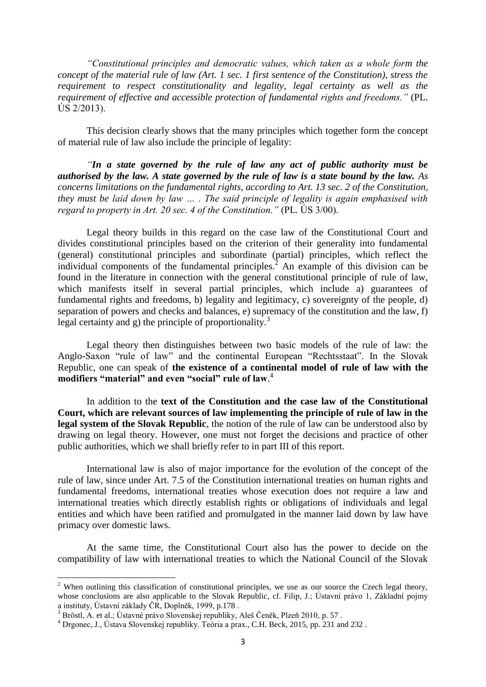*"Constitutional principles and democratic values, which taken as a whole form the concept of the material rule of law (Art. 1 sec. 1 first sentence of the Constitution), stress the requirement to respect constitutionality and legality, legal certainty as well as the requirement of effective and accessible protection of fundamental rights and freedoms."* (PL.  $\angle$  (S 2/2013).

This decision clearly shows that the many principles which together form the concept of material rule of law also include the principle of legality:

*"In a state governed by the rule of law any act of public authority must be authorised by the law. A state governed by the rule of law is a state bound by the law. As concerns limitations on the fundamental rights, according to Art. 13 sec. 2 of the Constitution, they must be laid down by law … . The said principle of legality is again emphasised with regard to property in Art. 20 sec. 4 of the Constitution."* (PL. ÚS 3/00).

Legal theory builds in this regard on the case law of the Constitutional Court and divides constitutional principles based on the criterion of their generality into fundamental (general) constitutional principles and subordinate (partial) principles, which reflect the individual components of the fundamental principles.<sup>2</sup> An example of this division can be found in the literature in connection with the general constitutional principle of rule of law, which manifests itself in several partial principles, which include a) guarantees of fundamental rights and freedoms, b) legality and legitimacy, c) sovereignty of the people, d) separation of powers and checks and balances, e) supremacy of the constitution and the law, f) legal certainty and g) the principle of proportionality.<sup>3</sup>

Legal theory then distinguishes between two basic models of the rule of law: the Anglo-Saxon "rule of law" and the continental European "Rechtsstaat". In the Slovak Republic, one can speak of **the existence of a continental model of rule of law with the modifiers "material" and even "social" rule of law**. 4

In addition to the **text of the Constitution and the case law of the Constitutional Court, which are relevant sources of law implementing the principle of rule of law in the legal system of the Slovak Republic**, the notion of the rule of law can be understood also by drawing on legal theory. However, one must not forget the decisions and practice of other public authorities, which we shall briefly refer to in part III of this report.

International law is also of major importance for the evolution of the concept of the rule of law, since under Art. 7.5 of the Constitution international treaties on human rights and fundamental freedoms, international treaties whose execution does not require a law and international treaties which directly establish rights or obligations of individuals and legal entities and which have been ratified and promulgated in the manner laid down by law have primacy over domestic laws.

At the same time, the Constitutional Court also has the power to decide on the compatibility of law with international treaties to which the National Council of the Slovak

**.** 

<sup>&</sup>lt;sup>2</sup> When outlining this classification of constitutional principles, we use as our source the Czech legal theory, whose conclusions are also applicable to the Slovak Republic, cf. Filip, J.; Ústavní právo 1, Základní pojmy a instituty, Ústavní základy ČR, Doplněk, 1999, p.178 .

 $3$  Bröstl, A. et al.; Ústavné právo Slovenskej republiky, Aleš Čeněk, Plzeň 2010, p. 57.

<sup>4</sup> Drgonec, J., Ústava Slovenskej republiky. Teória a prax., C.H. Beck, 2015, pp. 231 and 232 .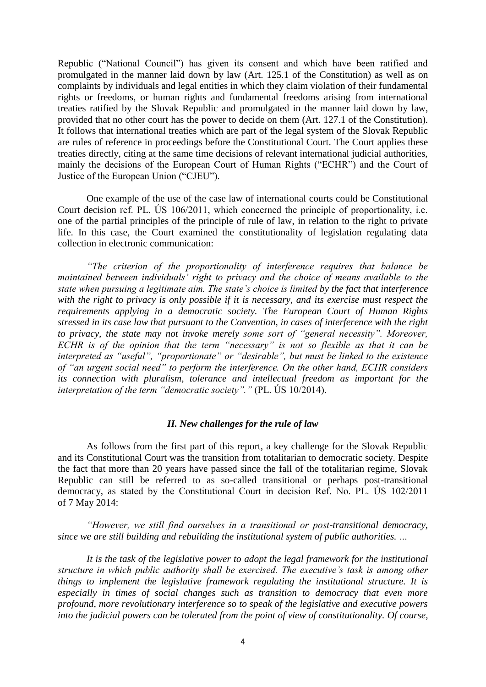Republic ("National Council") has given its consent and which have been ratified and promulgated in the manner laid down by law (Art. 125.1 of the Constitution) as well as on complaints by individuals and legal entities in which they claim violation of their fundamental rights or freedoms, or human rights and fundamental freedoms arising from international treaties ratified by the Slovak Republic and promulgated in the manner laid down by law, provided that no other court has the power to decide on them (Art. 127.1 of the Constitution). It follows that international treaties which are part of the legal system of the Slovak Republic are rules of reference in proceedings before the Constitutional Court. The Court applies these treaties directly, citing at the same time decisions of relevant international judicial authorities, mainly the decisions of the European Court of Human Rights ("ECHR") and the Court of Justice of the European Union ("CJEU").

One example of the use of the case law of international courts could be Constitutional Court decision ref. PL. ÚS 106/2011, which concerned the principle of proportionality, i.e. one of the partial principles of the principle of rule of law, in relation to the right to private life. In this case, the Court examined the constitutionality of legislation regulating data collection in electronic communication:

*"The criterion of the proportionality of interference requires that balance be maintained between individuals' right to privacy and the choice of means available to the state when pursuing a legitimate aim. The state's choice is limited by the fact that interference with the right to privacy is only possible if it is necessary, and its exercise must respect the requirements applying in a democratic society. The European Court of Human Rights stressed in its case law that pursuant to the Convention, in cases of interference with the right to privacy, the state may not invoke merely some sort of "general necessity". Moreover, ECHR is of the opinion that the term "necessary" is not so flexible as that it can be interpreted as "useful", "proportionate" or "desirable", but must be linked to the existence of "an urgent social need" to perform the interference. On the other hand, ECHR considers its connection with pluralism, tolerance and intellectual freedom as important for the interpretation of the term "democratic society"."* (PL. ÚS 10/2014).

#### *II. New challenges for the rule of law*

As follows from the first part of this report, a key challenge for the Slovak Republic and its Constitutional Court was the transition from totalitarian to democratic society. Despite the fact that more than 20 years have passed since the fall of the totalitarian regime, Slovak Republic can still be referred to as so-called transitional or perhaps post-transitional democracy, as stated by the Constitutional Court in decision Ref. No. PL. ÚS 102/2011 of 7 May 2014:

*"However, we still find ourselves in a transitional or post-transitional democracy, since we are still building and rebuilding the institutional system of public authorities. …*

*It is the task of the legislative power to adopt the legal framework for the institutional structure in which public authority shall be exercised. The executive's task is among other things to implement the legislative framework regulating the institutional structure. It is especially in times of social changes such as transition to democracy that even more profound, more revolutionary interference so to speak of the legislative and executive powers into the judicial powers can be tolerated from the point of view of constitutionality. Of course,*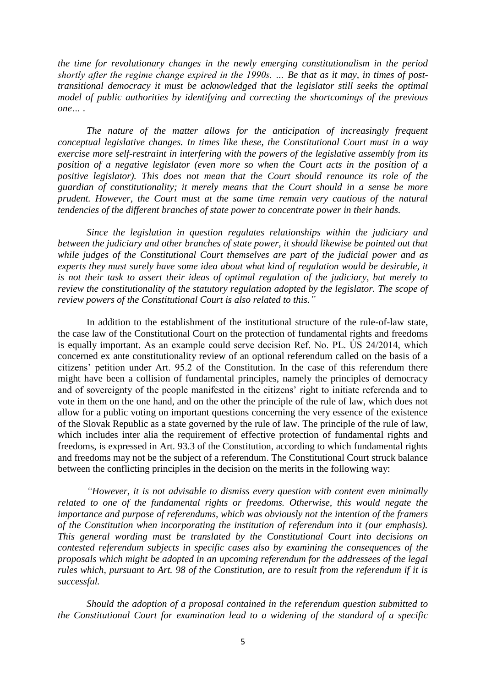*the time for revolutionary changes in the newly emerging constitutionalism in the period shortly after the regime change expired in the 1990s. … Be that as it may, in times of posttransitional democracy it must be acknowledged that the legislator still seeks the optimal model of public authorities by identifying and correcting the shortcomings of the previous one… .* 

*The nature of the matter allows for the anticipation of increasingly frequent conceptual legislative changes. In times like these, the Constitutional Court must in a way exercise more self-restraint in interfering with the powers of the legislative assembly from its position of a negative legislator (even more so when the Court acts in the position of a positive legislator). This does not mean that the Court should renounce its role of the guardian of constitutionality; it merely means that the Court should in a sense be more prudent. However, the Court must at the same time remain very cautious of the natural tendencies of the different branches of state power to concentrate power in their hands.*

*Since the legislation in question regulates relationships within the judiciary and between the judiciary and other branches of state power, it should likewise be pointed out that while judges of the Constitutional Court themselves are part of the judicial power and as experts they must surely have some idea about what kind of regulation would be desirable, it is not their task to assert their ideas of optimal regulation of the judiciary, but merely to review the constitutionality of the statutory regulation adopted by the legislator. The scope of review powers of the Constitutional Court is also related to this."*

In addition to the establishment of the institutional structure of the rule-of-law state, the case law of the Constitutional Court on the protection of fundamental rights and freedoms is equally important. As an example could serve decision Ref. No. PL. ÚS 24/2014, which concerned ex ante constitutionality review of an optional referendum called on the basis of a citizens' petition under Art. 95.2 of the Constitution. In the case of this referendum there might have been a collision of fundamental principles, namely the principles of democracy and of sovereignty of the people manifested in the citizens' right to initiate referenda and to vote in them on the one hand, and on the other the principle of the rule of law, which does not allow for a public voting on important questions concerning the very essence of the existence of the Slovak Republic as a state governed by the rule of law. The principle of the rule of law, which includes inter alia the requirement of effective protection of fundamental rights and freedoms, is expressed in Art. 93.3 of the Constitution, according to which fundamental rights and freedoms may not be the subject of a referendum. The Constitutional Court struck balance between the conflicting principles in the decision on the merits in the following way:

*"However, it is not advisable to dismiss every question with content even minimally related to one of the fundamental rights or freedoms. Otherwise, this would negate the importance and purpose of referendums, which was obviously not the intention of the framers of the Constitution when incorporating the institution of referendum into it (our emphasis). This general wording must be translated by the Constitutional Court into decisions on contested referendum subjects in specific cases also by examining the consequences of the proposals which might be adopted in an upcoming referendum for the addressees of the legal rules which, pursuant to Art. 98 of the Constitution, are to result from the referendum if it is successful.*

*Should the adoption of a proposal contained in the referendum question submitted to the Constitutional Court for examination lead to a widening of the standard of a specific*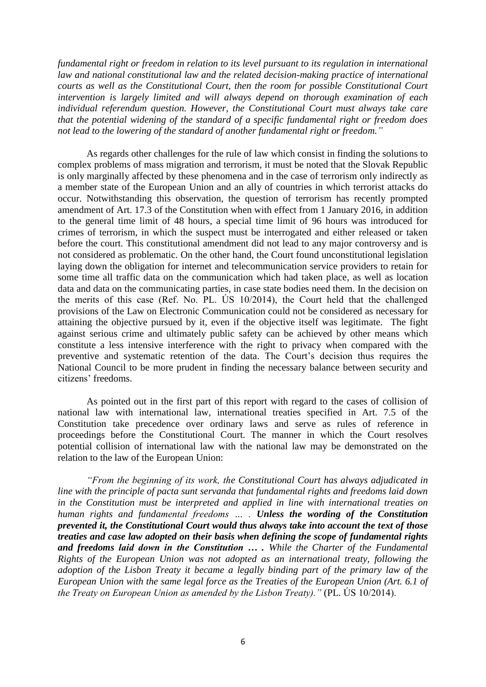*fundamental right or freedom in relation to its level pursuant to its regulation in international law and national constitutional law and the related decision-making practice of international courts as well as the Constitutional Court, then the room for possible Constitutional Court intervention is largely limited and will always depend on thorough examination of each individual referendum question. However, the Constitutional Court must always take care that the potential widening of the standard of a specific fundamental right or freedom does not lead to the lowering of the standard of another fundamental right or freedom."*

As regards other challenges for the rule of law which consist in finding the solutions to complex problems of mass migration and terrorism, it must be noted that the Slovak Republic is only marginally affected by these phenomena and in the case of terrorism only indirectly as a member state of the European Union and an ally of countries in which terrorist attacks do occur. Notwithstanding this observation, the question of terrorism has recently prompted amendment of Art. 17.3 of the Constitution when with effect from 1 January 2016, in addition to the general time limit of 48 hours, a special time limit of 96 hours was introduced for crimes of terrorism, in which the suspect must be interrogated and either released or taken before the court. This constitutional amendment did not lead to any major controversy and is not considered as problematic. On the other hand, the Court found unconstitutional legislation laying down the obligation for internet and telecommunication service providers to retain for some time all traffic data on the communication which had taken place, as well as location data and data on the communicating parties, in case state bodies need them. In the decision on the merits of this case (Ref. No. PL. ÚS 10/2014), the Court held that the challenged provisions of the Law on Electronic Communication could not be considered as necessary for attaining the objective pursued by it, even if the objective itself was legitimate. The fight against serious crime and ultimately public safety can be achieved by other means which constitute a less intensive interference with the right to privacy when compared with the preventive and systematic retention of the data. The Court's decision thus requires the National Council to be more prudent in finding the necessary balance between security and citizens' freedoms.

As pointed out in the first part of this report with regard to the cases of collision of national law with international law, international treaties specified in Art. 7.5 of the Constitution take precedence over ordinary laws and serve as rules of reference in proceedings before the Constitutional Court. The manner in which the Court resolves potential collision of international law with the national law may be demonstrated on the relation to the law of the European Union:

*"From the beginning of its work, the Constitutional Court has always adjudicated in line with the principle of pacta sunt servanda that fundamental rights and freedoms laid down in the Constitution must be interpreted and applied in line with international treaties on human rights and fundamental freedoms … . Unless the wording of the Constitution prevented it, the Constitutional Court would thus always take into account the text of those treaties and case law adopted on their basis when defining the scope of fundamental rights and freedoms laid down in the Constitution … . While the Charter of the Fundamental Rights of the European Union was not adopted as an international treaty, following the adoption of the Lisbon Treaty it became a legally binding part of the primary law of the European Union with the same legal force as the Treaties of the European Union (Art. 6.1 of the Treaty on European Union as amended by the Lisbon Treaty)."* (PL. ÚS 10/2014).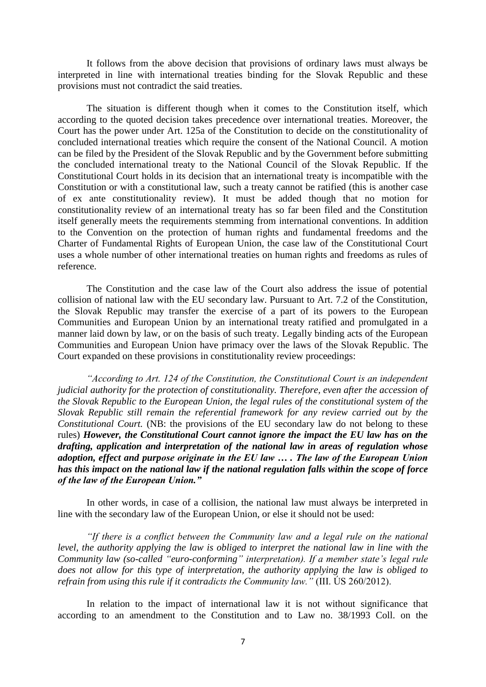It follows from the above decision that provisions of ordinary laws must always be interpreted in line with international treaties binding for the Slovak Republic and these provisions must not contradict the said treaties.

The situation is different though when it comes to the Constitution itself, which according to the quoted decision takes precedence over international treaties. Moreover, the Court has the power under Art. 125a of the Constitution to decide on the constitutionality of concluded international treaties which require the consent of the National Council. A motion can be filed by the President of the Slovak Republic and by the Government before submitting the concluded international treaty to the National Council of the Slovak Republic. If the Constitutional Court holds in its decision that an international treaty is incompatible with the Constitution or with a constitutional law, such a treaty cannot be ratified (this is another case of ex ante constitutionality review). It must be added though that no motion for constitutionality review of an international treaty has so far been filed and the Constitution itself generally meets the requirements stemming from international conventions. In addition to the Convention on the protection of human rights and fundamental freedoms and the Charter of Fundamental Rights of European Union, the case law of the Constitutional Court uses a whole number of other international treaties on human rights and freedoms as rules of reference.

The Constitution and the case law of the Court also address the issue of potential collision of national law with the EU secondary law. Pursuant to Art. 7.2 of the Constitution, the Slovak Republic may transfer the exercise of a part of its powers to the European Communities and European Union by an international treaty ratified and promulgated in a manner laid down by law, or on the basis of such treaty. Legally binding acts of the European Communities and European Union have primacy over the laws of the Slovak Republic. The Court expanded on these provisions in constitutionality review proceedings:

*"According to Art. 124 of the Constitution, the Constitutional Court is an independent judicial authority for the protection of constitutionality. Therefore, even after the accession of the Slovak Republic to the European Union, the legal rules of the constitutional system of the Slovak Republic still remain the referential framework for any review carried out by the Constitutional Court.* (NB: the provisions of the EU secondary law do not belong to these rules) *However, the Constitutional Court cannot ignore the impact the EU law has on the drafting, application and interpretation of the national law in areas of regulation whose adoption, effect and purpose originate in the EU law … . The law of the European Union has this impact on the national law if the national regulation falls within the scope of force of the law of the European Union."*

In other words, in case of a collision, the national law must always be interpreted in line with the secondary law of the European Union, or else it should not be used:

*"If there is a conflict between the Community law and a legal rule on the national level, the authority applying the law is obliged to interpret the national law in line with the Community law (so-called "euro-conforming" interpretation). If a member state's legal rule does not allow for this type of interpretation, the authority applying the law is obliged to refrain from using this rule if it contradicts the Community law."* (III. ÚS 260/2012).

In relation to the impact of international law it is not without significance that according to an amendment to the Constitution and to Law no. 38/1993 Coll. on the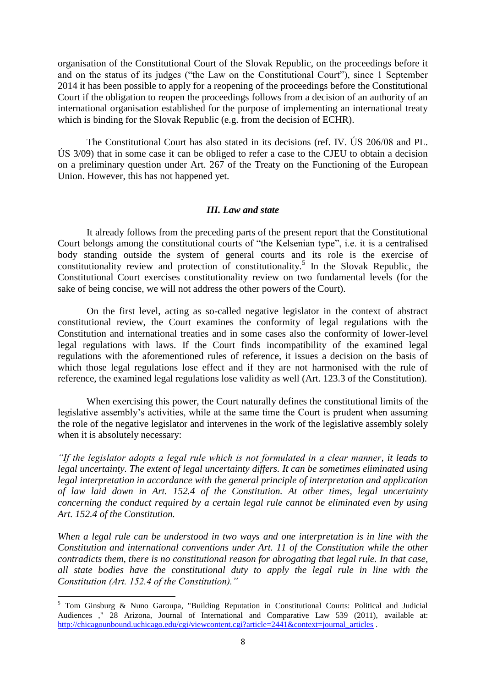organisation of the Constitutional Court of the Slovak Republic, on the proceedings before it and on the status of its judges ("the Law on the Constitutional Court"), since 1 September 2014 it has been possible to apply for a reopening of the proceedings before the Constitutional Court if the obligation to reopen the proceedings follows from a decision of an authority of an international organisation established for the purpose of implementing an international treaty which is binding for the Slovak Republic (e.g. from the decision of ECHR).

The Constitutional Court has also stated in its decisions (ref. IV. ÚS 206/08 and PL. ÚS 3/09) that in some case it can be obliged to refer a case to the CJEU to obtain a decision on a preliminary question under Art. 267 of the Treaty on the Functioning of the European Union. However, this has not happened yet.

# *III. Law and state*

It already follows from the preceding parts of the present report that the Constitutional Court belongs among the constitutional courts of "the Kelsenian type", i.e. it is a centralised body standing outside the system of general courts and its role is the exercise of constitutionality review and protection of constitutionality.<sup>5</sup> In the Slovak Republic, the Constitutional Court exercises constitutionality review on two fundamental levels (for the sake of being concise, we will not address the other powers of the Court).

On the first level, acting as so-called negative legislator in the context of abstract constitutional review, the Court examines the conformity of legal regulations with the Constitution and international treaties and in some cases also the conformity of lower-level legal regulations with laws. If the Court finds incompatibility of the examined legal regulations with the aforementioned rules of reference, it issues a decision on the basis of which those legal regulations lose effect and if they are not harmonised with the rule of reference, the examined legal regulations lose validity as well (Art. 123.3 of the Constitution).

When exercising this power, the Court naturally defines the constitutional limits of the legislative assembly's activities, while at the same time the Court is prudent when assuming the role of the negative legislator and intervenes in the work of the legislative assembly solely when it is absolutely necessary:

*"If the legislator adopts a legal rule which is not formulated in a clear manner, it leads to legal uncertainty. The extent of legal uncertainty differs. It can be sometimes eliminated using legal interpretation in accordance with the general principle of interpretation and application of law laid down in Art. 152.4 of the Constitution. At other times, legal uncertainty concerning the conduct required by a certain legal rule cannot be eliminated even by using Art. 152.4 of the Constitution.*

*When a legal rule can be understood in two ways and one interpretation is in line with the Constitution and international conventions under Art. 11 of the Constitution while the other contradicts them, there is no constitutional reason for abrogating that legal rule. In that case, all state bodies have the constitutional duty to apply the legal rule in line with the Constitution (Art. 152.4 of the Constitution)."*

<sup>5</sup> Tom Ginsburg & Nuno Garoupa, "Building Reputation in Constitutional Courts: Political and Judicial Audiences ," 28 Arizona, Journal of International and Comparative Law 539 (2011), available at: [http://chicagounbound.uchicago.edu/cgi/viewcontent.cgi?article=2441&context=journal\\_articles](http://chicagounbound.uchicago.edu/cgi/viewcontent.cgi?article=2441&context=journal_articles) .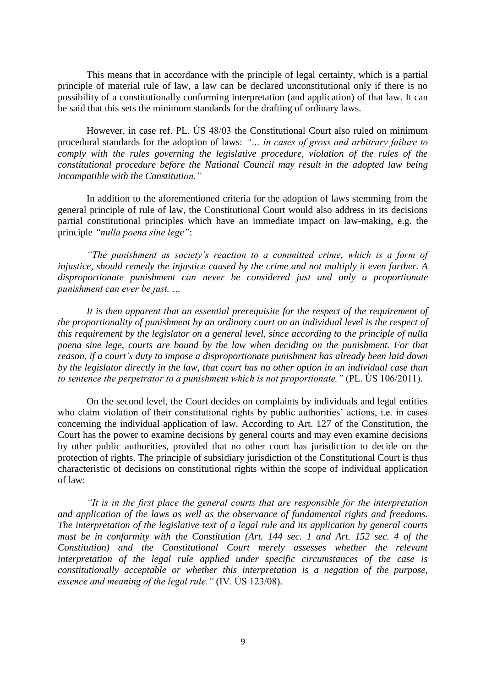This means that in accordance with the principle of legal certainty, which is a partial principle of material rule of law, a law can be declared unconstitutional only if there is no possibility of a constitutionally conforming interpretation (and application) of that law. It can be said that this sets the minimum standards for the drafting of ordinary laws.

However, in case ref. PL. ÚS 48/03 the Constitutional Court also ruled on minimum procedural standards for the adoption of laws: *"… in cases of gross and arbitrary failure to comply with the rules governing the legislative procedure, violation of the rules of the constitutional procedure before the National Council may result in the adopted law being incompatible with the Constitution."*

In addition to the aforementioned criteria for the adoption of laws stemming from the general principle of rule of law, the Constitutional Court would also address in its decisions partial constitutional principles which have an immediate impact on law-making, e.g. the principle *"nulla poena sine lege"*:

*"The punishment as society's reaction to a committed crime, which is a form of injustice, should remedy the injustice caused by the crime and not multiply it even further. A disproportionate punishment can never be considered just and only a proportionate punishment can ever be just. …*

*It is then apparent that an essential prerequisite for the respect of the requirement of the proportionality of punishment by an ordinary court on an individual level is the respect of this requirement by the legislator on a general level, since according to the principle of nulla poena sine lege, courts are bound by the law when deciding on the punishment. For that reason, if a court's duty to impose a disproportionate punishment has already been laid down by the legislator directly in the law, that court has no other option in an individual case than to sentence the perpetrator to a punishment which is not proportionate."* (PL. ÚS 106/2011).

On the second level, the Court decides on complaints by individuals and legal entities who claim violation of their constitutional rights by public authorities' actions, i.e. in cases concerning the individual application of law. According to Art. 127 of the Constitution, the Court has the power to examine decisions by general courts and may even examine decisions by other public authorities, provided that no other court has jurisdiction to decide on the protection of rights. The principle of subsidiary jurisdiction of the Constitutional Court is thus characteristic of decisions on constitutional rights within the scope of individual application of law:

*"It is in the first place the general courts that are responsible for the interpretation and application of the laws as well as the observance of fundamental rights and freedoms. The interpretation of the legislative text of a legal rule and its application by general courts must be in conformity with the Constitution (Art. 144 sec. 1 and Art. 152 sec. 4 of the Constitution) and the Constitutional Court merely assesses whether the relevant interpretation of the legal rule applied under specific circumstances of the case is constitutionally acceptable or whether this interpretation is a negation of the purpose, essence and meaning of the legal rule."* (IV. ÚS 123/08).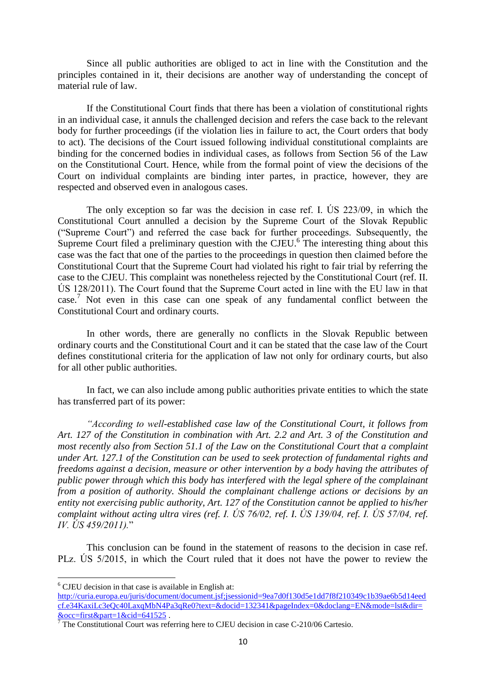Since all public authorities are obliged to act in line with the Constitution and the principles contained in it, their decisions are another way of understanding the concept of material rule of law.

If the Constitutional Court finds that there has been a violation of constitutional rights in an individual case, it annuls the challenged decision and refers the case back to the relevant body for further proceedings (if the violation lies in failure to act, the Court orders that body to act). The decisions of the Court issued following individual constitutional complaints are binding for the concerned bodies in individual cases, as follows from Section 56 of the Law on the Constitutional Court. Hence, while from the formal point of view the decisions of the Court on individual complaints are binding inter partes, in practice, however, they are respected and observed even in analogous cases.

The only exception so far was the decision in case ref. I. ÚS 223/09, in which the Constitutional Court annulled a decision by the Supreme Court of the Slovak Republic ("Supreme Court") and referred the case back for further proceedings. Subsequently, the Supreme Court filed a preliminary question with the CJEU.<sup>6</sup> The interesting thing about this case was the fact that one of the parties to the proceedings in question then claimed before the Constitutional Court that the Supreme Court had violated his right to fair trial by referring the case to the CJEU. This complaint was nonetheless rejected by the Constitutional Court (ref. II. ÚS 128/2011). The Court found that the Supreme Court acted in line with the EU law in that case.<sup>7</sup> Not even in this case can one speak of any fundamental conflict between the Constitutional Court and ordinary courts.

In other words, there are generally no conflicts in the Slovak Republic between ordinary courts and the Constitutional Court and it can be stated that the case law of the Court defines constitutional criteria for the application of law not only for ordinary courts, but also for all other public authorities.

In fact, we can also include among public authorities private entities to which the state has transferred part of its power:

*"According to well-established case law of the Constitutional Court, it follows from Art. 127 of the Constitution in combination with Art. 2.2 and Art. 3 of the Constitution and most recently also from Section 51.1 of the Law on the Constitutional Court that a complaint under Art. 127.1 of the Constitution can be used to seek protection of fundamental rights and freedoms against a decision, measure or other intervention by a body having the attributes of public power through which this body has interfered with the legal sphere of the complainant from a position of authority. Should the complainant challenge actions or decisions by an entity not exercising public authority, Art. 127 of the Constitution cannot be applied to his/her complaint without acting ultra vires (ref. I. ÚS 76/02, ref. I. ÚS 139/04, ref. I. ÚS 57/04, ref. IV. ÚS 459/2011).*"

This conclusion can be found in the statement of reasons to the decision in case ref. PLz. ÚS 5/2015, in which the Court ruled that it does not have the power to review the

**.** 

<sup>6</sup> CJEU decision in that case is available in English at: [http://curia.europa.eu/juris/document/document.jsf;jsessionid=9ea7d0f130d5e1dd7f8f210349c1b39ae6b5d14eed](http://curia.europa.eu/juris/document/document.jsf;jsessionid=9ea7d0f130d5e1dd7f8f210349c1b39ae6b5d14eedcf.e34KaxiLc3eQc40LaxqMbN4Pa3qRe0?text=&docid=132341&pageIndex=0&doclang=EN&mode=lst&dir=&occ=first&part=1&cid=641525) [cf.e34KaxiLc3eQc40LaxqMbN4Pa3qRe0?text=&docid=132341&pageIndex=0&doclang=EN&mode=lst&dir=](http://curia.europa.eu/juris/document/document.jsf;jsessionid=9ea7d0f130d5e1dd7f8f210349c1b39ae6b5d14eedcf.e34KaxiLc3eQc40LaxqMbN4Pa3qRe0?text=&docid=132341&pageIndex=0&doclang=EN&mode=lst&dir=&occ=first&part=1&cid=641525) [&occ=first&part=1&cid=641525](http://curia.europa.eu/juris/document/document.jsf;jsessionid=9ea7d0f130d5e1dd7f8f210349c1b39ae6b5d14eedcf.e34KaxiLc3eQc40LaxqMbN4Pa3qRe0?text=&docid=132341&pageIndex=0&doclang=EN&mode=lst&dir=&occ=first&part=1&cid=641525) .

 $7$  The Constitutional Court was referring here to CJEU decision in case C-210/06 Cartesio.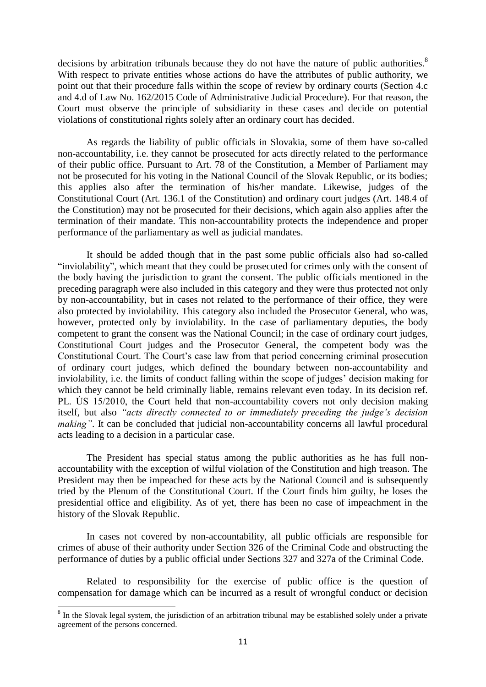decisions by arbitration tribunals because they do not have the nature of public authorities.<sup>8</sup> With respect to private entities whose actions do have the attributes of public authority, we point out that their procedure falls within the scope of review by ordinary courts (Section 4.c and 4.d of Law No. 162/2015 Code of Administrative Judicial Procedure). For that reason, the Court must observe the principle of subsidiarity in these cases and decide on potential violations of constitutional rights solely after an ordinary court has decided.

As regards the liability of public officials in Slovakia, some of them have so-called non-accountability, i.e. they cannot be prosecuted for acts directly related to the performance of their public office. Pursuant to Art. 78 of the Constitution, a Member of Parliament may not be prosecuted for his voting in the National Council of the Slovak Republic, or its bodies; this applies also after the termination of his/her mandate. Likewise, judges of the Constitutional Court (Art. 136.1 of the Constitution) and ordinary court judges (Art. 148.4 of the Constitution) may not be prosecuted for their decisions, which again also applies after the termination of their mandate. This non-accountability protects the independence and proper performance of the parliamentary as well as judicial mandates.

It should be added though that in the past some public officials also had so-called "inviolability", which meant that they could be prosecuted for crimes only with the consent of the body having the jurisdiction to grant the consent. The public officials mentioned in the preceding paragraph were also included in this category and they were thus protected not only by non-accountability, but in cases not related to the performance of their office, they were also protected by inviolability. This category also included the Prosecutor General, who was, however, protected only by inviolability. In the case of parliamentary deputies, the body competent to grant the consent was the National Council; in the case of ordinary court judges, Constitutional Court judges and the Prosecutor General, the competent body was the Constitutional Court. The Court's case law from that period concerning criminal prosecution of ordinary court judges, which defined the boundary between non-accountability and inviolability, i.e. the limits of conduct falling within the scope of judges' decision making for which they cannot be held criminally liable, remains relevant even today. In its decision ref. PL. ÚS 15/2010, the Court held that non-accountability covers not only decision making itself, but also *"acts directly connected to or immediately preceding the judge's decision making"*. It can be concluded that judicial non-accountability concerns all lawful procedural acts leading to a decision in a particular case.

The President has special status among the public authorities as he has full nonaccountability with the exception of wilful violation of the Constitution and high treason. The President may then be impeached for these acts by the National Council and is subsequently tried by the Plenum of the Constitutional Court. If the Court finds him guilty, he loses the presidential office and eligibility. As of yet, there has been no case of impeachment in the history of the Slovak Republic.

In cases not covered by non-accountability, all public officials are responsible for crimes of abuse of their authority under Section 326 of the Criminal Code and obstructing the performance of duties by a public official under Sections 327 and 327a of the Criminal Code.

Related to responsibility for the exercise of public office is the question of compensation for damage which can be incurred as a result of wrongful conduct or decision

<sup>&</sup>lt;sup>8</sup> In the Slovak legal system, the jurisdiction of an arbitration tribunal may be established solely under a private agreement of the persons concerned.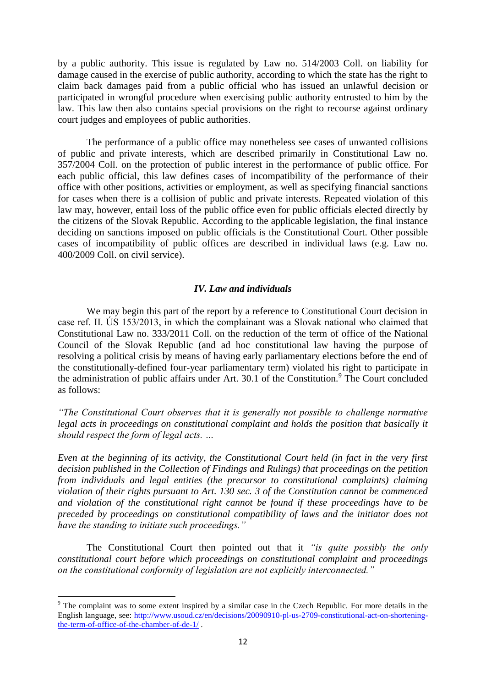by a public authority. This issue is regulated by Law no. 514/2003 Coll. on liability for damage caused in the exercise of public authority, according to which the state has the right to claim back damages paid from a public official who has issued an unlawful decision or participated in wrongful procedure when exercising public authority entrusted to him by the law. This law then also contains special provisions on the right to recourse against ordinary court judges and employees of public authorities.

The performance of a public office may nonetheless see cases of unwanted collisions of public and private interests, which are described primarily in Constitutional Law no. 357/2004 Coll. on the protection of public interest in the performance of public office. For each public official, this law defines cases of incompatibility of the performance of their office with other positions, activities or employment, as well as specifying financial sanctions for cases when there is a collision of public and private interests. Repeated violation of this law may, however, entail loss of the public office even for public officials elected directly by the citizens of the Slovak Republic. According to the applicable legislation, the final instance deciding on sanctions imposed on public officials is the Constitutional Court. Other possible cases of incompatibility of public offices are described in individual laws (e.g. Law no. 400/2009 Coll. on civil service).

# *IV. Law and individuals*

We may begin this part of the report by a reference to Constitutional Court decision in case ref. II. ÚS 153/2013, in which the complainant was a Slovak national who claimed that Constitutional Law no. 333/2011 Coll. on the reduction of the term of office of the National Council of the Slovak Republic (and ad hoc constitutional law having the purpose of resolving a political crisis by means of having early parliamentary elections before the end of the constitutionally-defined four-year parliamentary term) violated his right to participate in the administration of public affairs under Art. 30.1 of the Constitution.<sup>9</sup> The Court concluded as follows:

*"The Constitutional Court observes that it is generally not possible to challenge normative legal acts in proceedings on constitutional complaint and holds the position that basically it should respect the form of legal acts. …*

*Even at the beginning of its activity, the Constitutional Court held (in fact in the very first decision published in the Collection of Findings and Rulings) that proceedings on the petition from individuals and legal entities (the precursor to constitutional complaints) claiming violation of their rights pursuant to Art. 130 sec. 3 of the Constitution cannot be commenced and violation of the constitutional right cannot be found if these proceedings have to be preceded by proceedings on constitutional compatibility of laws and the initiator does not have the standing to initiate such proceedings."*

The Constitutional Court then pointed out that it *"is quite possibly the only constitutional court before which proceedings on constitutional complaint and proceedings on the constitutional conformity of legislation are not explicitly interconnected."*

<sup>&</sup>lt;sup>9</sup> The complaint was to some extent inspired by a similar case in the Czech Republic. For more details in the English language, see: [http://www.usoud.cz/en/decisions/20090910-pl-us-2709-constitutional-act-on-shortening](http://www.usoud.cz/en/decisions/20090910-pl-us-2709-constitutional-act-on-shortening-the-term-of-office-of-the-chamber-of-de-1/)[the-term-of-office-of-the-chamber-of-de-1/](http://www.usoud.cz/en/decisions/20090910-pl-us-2709-constitutional-act-on-shortening-the-term-of-office-of-the-chamber-of-de-1/) .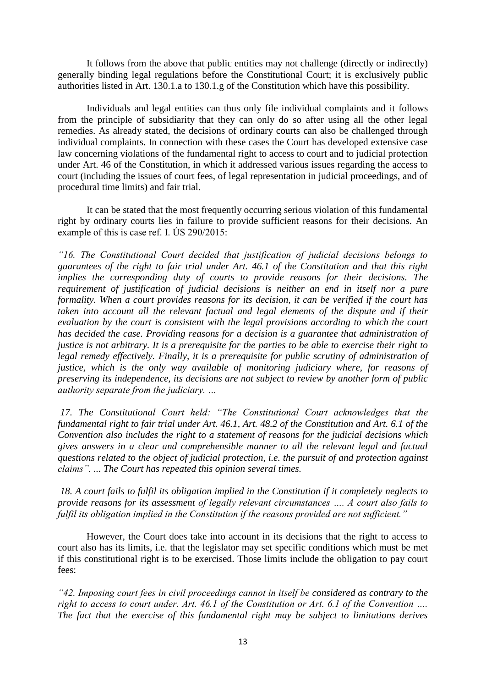It follows from the above that public entities may not challenge (directly or indirectly) generally binding legal regulations before the Constitutional Court; it is exclusively public authorities listed in Art. 130.1.a to 130.1.g of the Constitution which have this possibility.

Individuals and legal entities can thus only file individual complaints and it follows from the principle of subsidiarity that they can only do so after using all the other legal remedies. As already stated, the decisions of ordinary courts can also be challenged through individual complaints. In connection with these cases the Court has developed extensive case law concerning violations of the fundamental right to access to court and to judicial protection under Art. 46 of the Constitution, in which it addressed various issues regarding the access to court (including the issues of court fees, of legal representation in judicial proceedings, and of procedural time limits) and fair trial.

It can be stated that the most frequently occurring serious violation of this fundamental right by ordinary courts lies in failure to provide sufficient reasons for their decisions. An example of this is case ref. I. ÚS 290/2015:

*"16. The Constitutional Court decided that justification of judicial decisions belongs to guarantees of the right to fair trial under Art. 46.1 of the Constitution and that this right implies the corresponding duty of courts to provide reasons for their decisions. The requirement of justification of judicial decisions is neither an end in itself nor a pure formality. When a court provides reasons for its decision, it can be verified if the court has taken into account all the relevant factual and legal elements of the dispute and if their evaluation by the court is consistent with the legal provisions according to which the court has decided the case. Providing reasons for a decision is a guarantee that administration of justice is not arbitrary. It is a prerequisite for the parties to be able to exercise their right to legal remedy effectively. Finally, it is a prerequisite for public scrutiny of administration of justice, which is the only way available of monitoring judiciary where, for reasons of preserving its independence, its decisions are not subject to review by another form of public authority separate from the judiciary. …*

*17. The Constitutional Court held: "The Constitutional Court acknowledges that the fundamental right to fair trial under Art. 46.1, Art. 48.2 of the Constitution and Art. 6.1 of the Convention also includes the right to a statement of reasons for the judicial decisions which gives answers in a clear and comprehensible manner to all the relevant legal and factual questions related to the object of judicial protection, i.e. the pursuit of and protection against claims". ... The Court has repeated this opinion several times.*

*18. A court fails to fulfil its obligation implied in the Constitution if it completely neglects to provide reasons for its assessment of legally relevant circumstances …. A court also fails to fulfil its obligation implied in the Constitution if the reasons provided are not sufficient."*

However, the Court does take into account in its decisions that the right to access to court also has its limits, i.e. that the legislator may set specific conditions which must be met if this constitutional right is to be exercised. Those limits include the obligation to pay court fees:

*"42. Imposing court fees in civil proceedings cannot in itself be considered as contrary to the right to access to court under. Art. 46.1 of the Constitution or Art. 6.1 of the Convention …. The fact that the exercise of this fundamental right may be subject to limitations derives*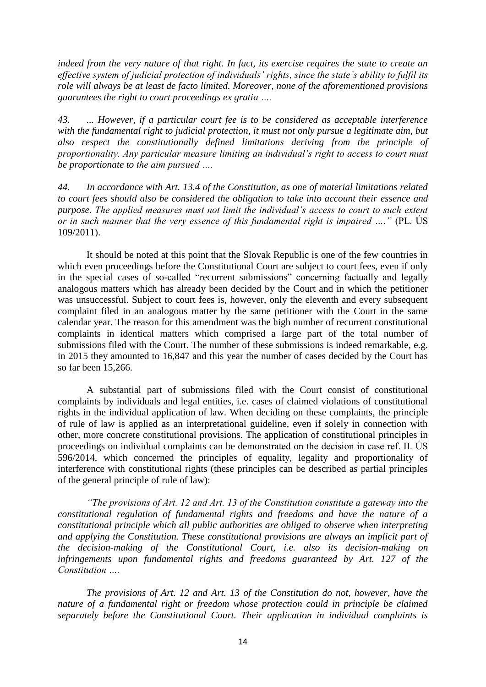*indeed from the very nature of that right. In fact, its exercise requires the state to create an effective system of judicial protection of individuals' rights, since the state's ability to fulfil its role will always be at least de facto limited. Moreover, none of the aforementioned provisions guarantees the right to court proceedings ex gratia ….*

*43. ... However, if a particular court fee is to be considered as acceptable interference with the fundamental right to judicial protection, it must not only pursue a legitimate aim, but also respect the constitutionally defined limitations deriving from the principle of proportionality. Any particular measure limiting an individual's right to access to court must be proportionate to the aim pursued ….*

*44. In accordance with Art. 13.4 of the Constitution, as one of material limitations related to court fees should also be considered the obligation to take into account their essence and purpose. The applied measures must not limit the individual's access to court to such extent or in such manner that the very essence of this fundamental right is impaired …."* (PL. ÚS 109/2011).

It should be noted at this point that the Slovak Republic is one of the few countries in which even proceedings before the Constitutional Court are subject to court fees, even if only in the special cases of so-called "recurrent submissions" concerning factually and legally analogous matters which has already been decided by the Court and in which the petitioner was unsuccessful. Subject to court fees is, however, only the eleventh and every subsequent complaint filed in an analogous matter by the same petitioner with the Court in the same calendar year. The reason for this amendment was the high number of recurrent constitutional complaints in identical matters which comprised a large part of the total number of submissions filed with the Court. The number of these submissions is indeed remarkable, e.g. in 2015 they amounted to 16,847 and this year the number of cases decided by the Court has so far been 15,266.

A substantial part of submissions filed with the Court consist of constitutional complaints by individuals and legal entities, i.e. cases of claimed violations of constitutional rights in the individual application of law. When deciding on these complaints, the principle of rule of law is applied as an interpretational guideline, even if solely in connection with other, more concrete constitutional provisions. The application of constitutional principles in proceedings on individual complaints can be demonstrated on the decision in case ref. II. ÚS 596/2014, which concerned the principles of equality, legality and proportionality of interference with constitutional rights (these principles can be described as partial principles of the general principle of rule of law):

*"The provisions of Art. 12 and Art. 13 of the Constitution constitute a gateway into the constitutional regulation of fundamental rights and freedoms and have the nature of a constitutional principle which all public authorities are obliged to observe when interpreting and applying the Constitution. These constitutional provisions are always an implicit part of the decision-making of the Constitutional Court, i.e. also its decision-making on infringements upon fundamental rights and freedoms guaranteed by Art. 127 of the Constitution ….*

*The provisions of Art. 12 and Art. 13 of the Constitution do not, however, have the nature of a fundamental right or freedom whose protection could in principle be claimed separately before the Constitutional Court. Their application in individual complaints is*